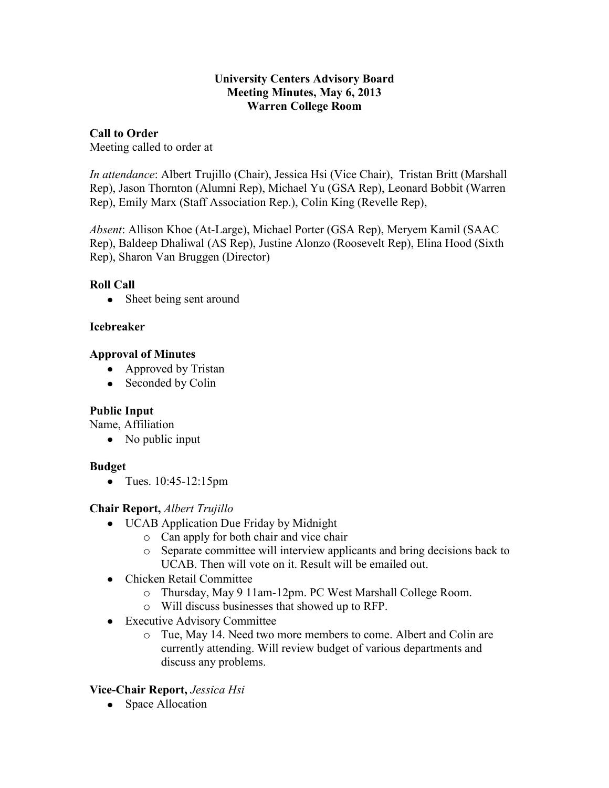#### **University Centers Advisory Board Meeting Minutes, May 6, 2013 Warren College Room**

## **Call to Order**

Meeting called to order at

*In attendance*: Albert Trujillo (Chair), Jessica Hsi (Vice Chair), Tristan Britt (Marshall Rep), Jason Thornton (Alumni Rep), Michael Yu (GSA Rep), Leonard Bobbit (Warren Rep), Emily Marx (Staff Association Rep.), Colin King (Revelle Rep),

*Absent*: Allison Khoe (At-Large), Michael Porter (GSA Rep), Meryem Kamil (SAAC Rep), Baldeep Dhaliwal (AS Rep), Justine Alonzo (Roosevelt Rep), Elina Hood (Sixth Rep), Sharon Van Bruggen (Director)

## **Roll Call**

• Sheet being sent around

## **Icebreaker**

## **Approval of Minutes**

- Approved by Tristan
- Seconded by Colin

# **Public Input**

Name, Affiliation

• No public input

# **Budget**

• Tues. 10:45-12:15pm

# **Chair Report,** *Albert Trujillo*

- UCAB Application Due Friday by Midnight
	- o Can apply for both chair and vice chair
	- o Separate committee will interview applicants and bring decisions back to UCAB. Then will vote on it. Result will be emailed out.
- Chicken Retail Committee
	- o Thursday, May 9 11am-12pm. PC West Marshall College Room.
	- o Will discuss businesses that showed up to RFP.
- Executive Advisory Committee
	- o Tue, May 14. Need two more members to come. Albert and Colin are currently attending. Will review budget of various departments and discuss any problems.

# **Vice-Chair Report,** *Jessica Hsi*

• Space Allocation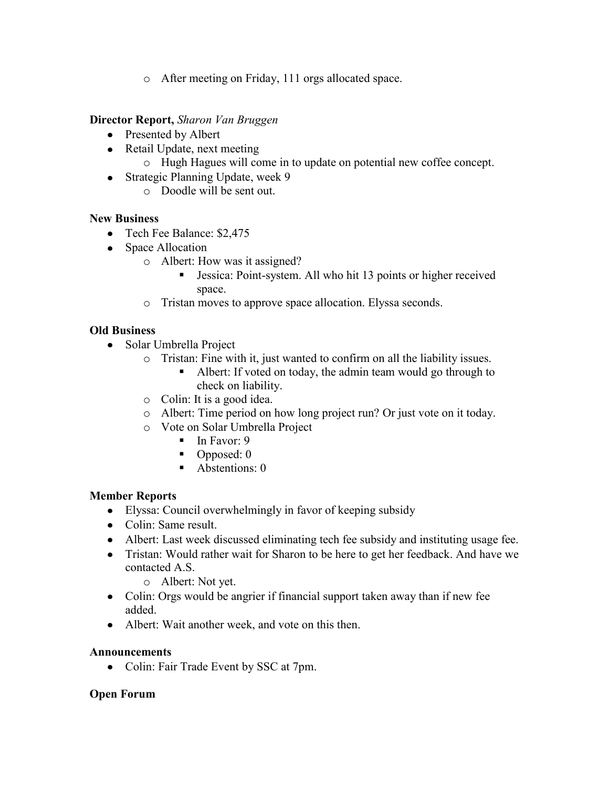o After meeting on Friday, 111 orgs allocated space.

#### **Director Report,** *Sharon Van Bruggen*

- Presented by Albert
- Retail Update, next meeting
	- o Hugh Hagues will come in to update on potential new coffee concept.
- Strategic Planning Update, week 9
	- o Doodle will be sent out.

## **New Business**

- Tech Fee Balance: \$2,475
- Space Allocation
	- o Albert: How was it assigned?
		- Jessica: Point-system. All who hit 13 points or higher received space.
	- o Tristan moves to approve space allocation. Elyssa seconds.

# **Old Business**

- Solar Umbrella Project
	- o Tristan: Fine with it, just wanted to confirm on all the liability issues.
		- Albert: If voted on today, the admin team would go through to check on liability.
		- o Colin: It is a good idea.
		- o Albert: Time period on how long project run? Or just vote on it today.
		- o Vote on Solar Umbrella Project
			- $\blacksquare$  In Favor: 9
			- $\blacksquare$  Opposed: 0
			- Abstentions: 0

# **Member Reports**

- Elyssa: Council overwhelmingly in favor of keeping subsidy
- Colin: Same result.
- Albert: Last week discussed eliminating tech fee subsidy and instituting usage fee.
- Tristan: Would rather wait for Sharon to be here to get her feedback. And have we contacted A.S.
	- o Albert: Not yet.
- Colin: Orgs would be angrier if financial support taken away than if new fee added.
- Albert: Wait another week, and vote on this then.

#### **Announcements**

• Colin: Fair Trade Event by SSC at 7pm.

#### **Open Forum**